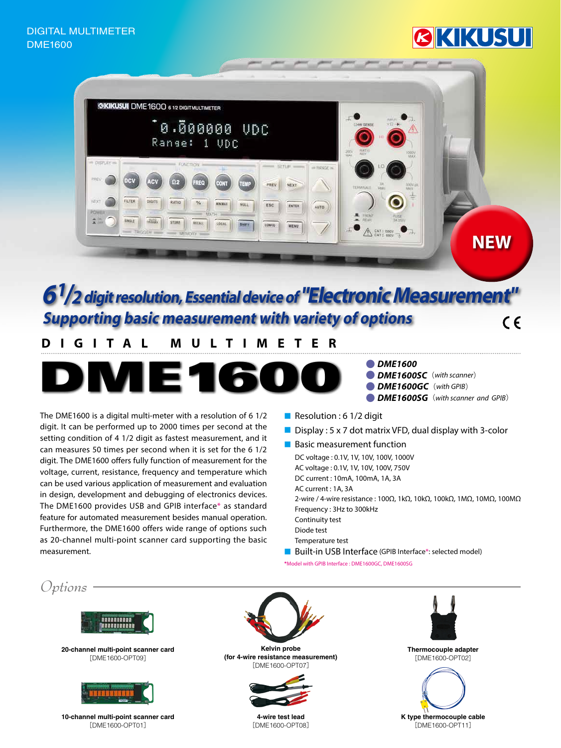# KIKUSUI



### $6<sup>1</sup>/2$  digit resolution, Essential device of "Electronic Measurement **Supporting basic measurement with variety of options**  $\epsilon$

## **MULTIMETER DIGITAL**



**DME1600** 

- **(** $\bullet$  DME1600SC (with scanner)
- **(** $\bullet$  DME1600GC (with GPIB)
- **(***DME1600SG* (*with scanner and GPIB*)

The DME1600 is a digital multi-meter with a resolution of  $6\frac{1}{2}$ digit. It can be performed up to 2000 times per second at the setting condition of 4 1/2 digit as fastest measurement, and it can measures 50 times per second when it is set for the 6 1/2 digit. The DME1600 offers fully function of measurement for the voltage, current, resistance, frequency and temperature which can be used various application of measurement and evaluation in design, development and debugging of electronics devices. The DME1600 provides USB and GPIB interface\* as standard feature for automated measurement besides manual operation. Furthermore, the DME1600 offers wide range of options such as 20-channel multi-point scanner card supporting the basic .measurement

- Resolution : 6 1/2 digit
- **Display : 5 x 7 dot matrix VFD, dual display with 3-color**
- Basic measurement function
	- DC voltage : 0.1V, 1V, 10V, 100V, 1000V
	- AC voltage : 0.1V, 1V, 10V, 100V, 750V
	- DC current : 10mA, 100mA, 1A, 3A
	- AC current : 1A, 3A
	- 2-wire / 4-wire resistance : 100Ω, 1kΩ, 10kΩ, 100kΩ, 1MΩ, 10MΩ, 100MΩ Frequency: 3Hz to 300kHz Continuity test
	- Diode test
	- Temperature test
- Built-in USB Interface (GPIB Interface\*: selected model)

\*Model with GPIB Interface : DME1600GC, DME1600SG

*Options*



**20-channel multi-point scanner card**  $[DME1600-OPT09]$ 



**10-channel multi-point scanner card**  $[DME1600-OPT01]$ 





**4-wire test lead** [DME1600-OPT08]



**Thermocouple adapter**  $[DME1600-OPT02]$